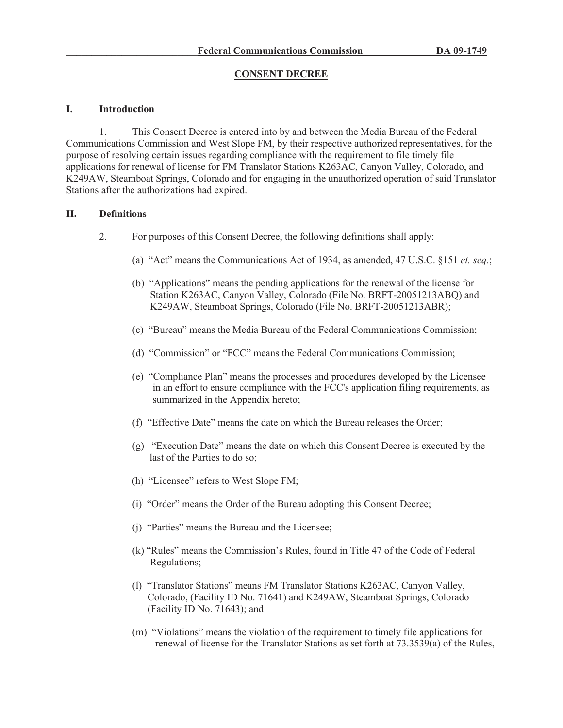### **CONSENT DECREE**

#### **I. Introduction**

1. This Consent Decree is entered into by and between the Media Bureau of the Federal Communications Commission and West Slope FM, by their respective authorized representatives, for the purpose of resolving certain issues regarding compliance with the requirement to file timely file applications for renewal of license for FM Translator Stations K263AC, Canyon Valley, Colorado, and K249AW, Steamboat Springs, Colorado and for engaging in the unauthorized operation of said Translator Stations after the authorizations had expired.

### **II. Definitions**

- 2. For purposes of this Consent Decree, the following definitions shall apply:
	- (a) "Act" means the Communications Act of 1934, as amended, 47 U.S.C. §151 *et. seq.*;
	- (b) "Applications" means the pending applications for the renewal of the license for Station K263AC, Canyon Valley, Colorado (File No. BRFT-20051213ABQ) and K249AW, Steamboat Springs, Colorado (File No. BRFT-20051213ABR);
	- (c) "Bureau" means the Media Bureau of the Federal Communications Commission;
	- (d) "Commission" or "FCC" means the Federal Communications Commission;
	- (e) "Compliance Plan" means the processes and procedures developed by the Licensee in an effort to ensure compliance with the FCC's application filing requirements, as summarized in the Appendix hereto;
	- (f) "Effective Date" means the date on which the Bureau releases the Order;
	- (g) "Execution Date" means the date on which this Consent Decree is executed by the last of the Parties to do so;
	- (h) "Licensee" refers to West Slope FM;
	- (i) "Order" means the Order of the Bureau adopting this Consent Decree;
	- (j) "Parties" means the Bureau and the Licensee;
	- (k) "Rules" means the Commission's Rules, found in Title 47 of the Code of Federal Regulations;
	- (l) "Translator Stations" means FM Translator Stations K263AC, Canyon Valley, Colorado, (Facility ID No. 71641) and K249AW, Steamboat Springs, Colorado (Facility ID No. 71643); and
	- (m) "Violations" means the violation of the requirement to timely file applications for renewal of license for the Translator Stations as set forth at 73.3539(a) of the Rules,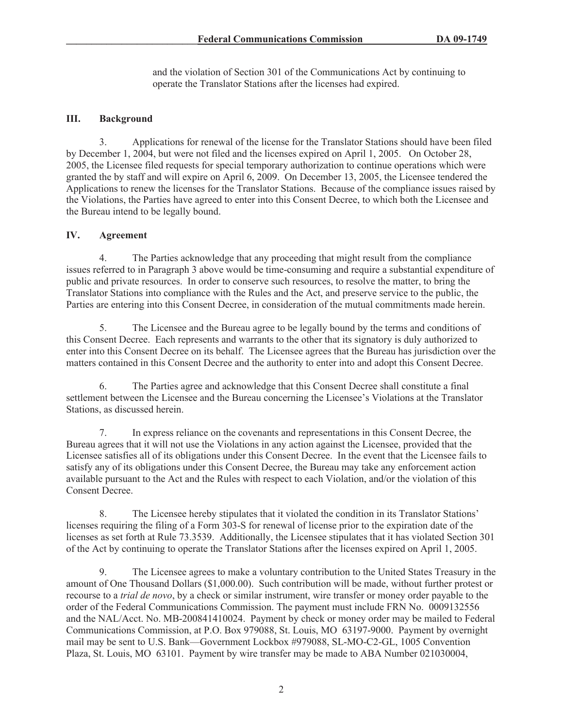and the violation of Section 301 of the Communications Act by continuing to operate the Translator Stations after the licenses had expired.

# **III. Background**

3. Applications for renewal of the license for the Translator Stations should have been filed by December 1, 2004, but were not filed and the licenses expired on April 1, 2005. On October 28, 2005, the Licensee filed requests for special temporary authorization to continue operations which were granted the by staff and will expire on April 6, 2009. On December 13, 2005, the Licensee tendered the Applications to renew the licenses for the Translator Stations. Because of the compliance issues raised by the Violations, the Parties have agreed to enter into this Consent Decree, to which both the Licensee and the Bureau intend to be legally bound.

# **IV. Agreement**

4. The Parties acknowledge that any proceeding that might result from the compliance issues referred to in Paragraph 3 above would be time-consuming and require a substantial expenditure of public and private resources. In order to conserve such resources, to resolve the matter, to bring the Translator Stations into compliance with the Rules and the Act, and preserve service to the public, the Parties are entering into this Consent Decree, in consideration of the mutual commitments made herein.

5. The Licensee and the Bureau agree to be legally bound by the terms and conditions of this Consent Decree. Each represents and warrants to the other that its signatory is duly authorized to enter into this Consent Decree on its behalf. The Licensee agrees that the Bureau has jurisdiction over the matters contained in this Consent Decree and the authority to enter into and adopt this Consent Decree.

6. The Parties agree and acknowledge that this Consent Decree shall constitute a final settlement between the Licensee and the Bureau concerning the Licensee's Violations at the Translator Stations, as discussed herein.

7. In express reliance on the covenants and representations in this Consent Decree, the Bureau agrees that it will not use the Violations in any action against the Licensee, provided that the Licensee satisfies all of its obligations under this Consent Decree. In the event that the Licensee fails to satisfy any of its obligations under this Consent Decree, the Bureau may take any enforcement action available pursuant to the Act and the Rules with respect to each Violation, and/or the violation of this Consent Decree.

8. The Licensee hereby stipulates that it violated the condition in its Translator Stations' licenses requiring the filing of a Form 303-S for renewal of license prior to the expiration date of the licenses as set forth at Rule 73.3539. Additionally, the Licensee stipulates that it has violated Section 301 of the Act by continuing to operate the Translator Stations after the licenses expired on April 1, 2005.

9. The Licensee agrees to make a voluntary contribution to the United States Treasury in the amount of One Thousand Dollars (\$1,000.00). Such contribution will be made, without further protest or recourse to a *trial de novo*, by a check or similar instrument, wire transfer or money order payable to the order of the Federal Communications Commission. The payment must include FRN No. 0009132556 and the NAL/Acct. No. MB-200841410024. Payment by check or money order may be mailed to Federal Communications Commission, at P.O. Box 979088, St. Louis, MO 63197-9000. Payment by overnight mail may be sent to U.S. Bank—Government Lockbox #979088, SL-MO-C2-GL, 1005 Convention Plaza, St. Louis, MO 63101. Payment by wire transfer may be made to ABA Number 021030004,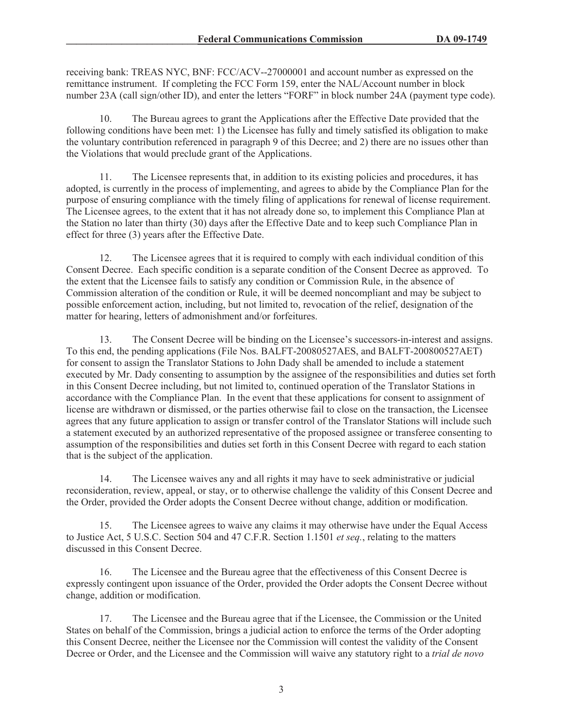receiving bank: TREAS NYC, BNF: FCC/ACV--27000001 and account number as expressed on the remittance instrument. If completing the FCC Form 159, enter the NAL/Account number in block number 23A (call sign/other ID), and enter the letters "FORF" in block number 24A (payment type code).

10. The Bureau agrees to grant the Applications after the Effective Date provided that the following conditions have been met: 1) the Licensee has fully and timely satisfied its obligation to make the voluntary contribution referenced in paragraph 9 of this Decree; and 2) there are no issues other than the Violations that would preclude grant of the Applications.

11. The Licensee represents that, in addition to its existing policies and procedures, it has adopted, is currently in the process of implementing, and agrees to abide by the Compliance Plan for the purpose of ensuring compliance with the timely filing of applications for renewal of license requirement. The Licensee agrees, to the extent that it has not already done so, to implement this Compliance Plan at the Station no later than thirty (30) days after the Effective Date and to keep such Compliance Plan in effect for three (3) years after the Effective Date.

12. The Licensee agrees that it is required to comply with each individual condition of this Consent Decree. Each specific condition is a separate condition of the Consent Decree as approved. To the extent that the Licensee fails to satisfy any condition or Commission Rule, in the absence of Commission alteration of the condition or Rule, it will be deemed noncompliant and may be subject to possible enforcement action, including, but not limited to, revocation of the relief, designation of the matter for hearing, letters of admonishment and/or forfeitures.

13. The Consent Decree will be binding on the Licensee's successors-in-interest and assigns. To this end, the pending applications (File Nos. BALFT-20080527AES, and BALFT-200800527AET) for consent to assign the Translator Stations to John Dady shall be amended to include a statement executed by Mr. Dady consenting to assumption by the assignee of the responsibilities and duties set forth in this Consent Decree including, but not limited to, continued operation of the Translator Stations in accordance with the Compliance Plan. In the event that these applications for consent to assignment of license are withdrawn or dismissed, or the parties otherwise fail to close on the transaction, the Licensee agrees that any future application to assign or transfer control of the Translator Stations will include such a statement executed by an authorized representative of the proposed assignee or transferee consenting to assumption of the responsibilities and duties set forth in this Consent Decree with regard to each station that is the subject of the application.

14. The Licensee waives any and all rights it may have to seek administrative or judicial reconsideration, review, appeal, or stay, or to otherwise challenge the validity of this Consent Decree and the Order, provided the Order adopts the Consent Decree without change, addition or modification.

15. The Licensee agrees to waive any claims it may otherwise have under the Equal Access to Justice Act, 5 U.S.C. Section 504 and 47 C.F.R. Section 1.1501 *et seq.*, relating to the matters discussed in this Consent Decree.

16. The Licensee and the Bureau agree that the effectiveness of this Consent Decree is expressly contingent upon issuance of the Order, provided the Order adopts the Consent Decree without change, addition or modification.

17. The Licensee and the Bureau agree that if the Licensee, the Commission or the United States on behalf of the Commission, brings a judicial action to enforce the terms of the Order adopting this Consent Decree, neither the Licensee nor the Commission will contest the validity of the Consent Decree or Order, and the Licensee and the Commission will waive any statutory right to a *trial de novo*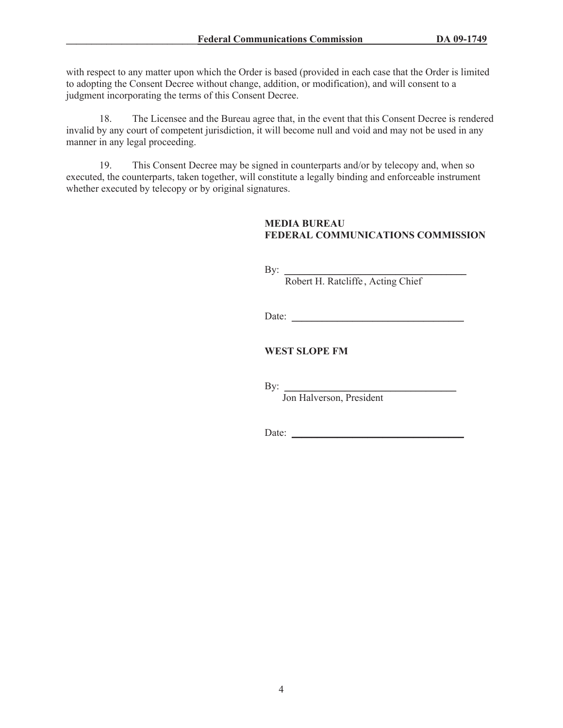with respect to any matter upon which the Order is based (provided in each case that the Order is limited to adopting the Consent Decree without change, addition, or modification), and will consent to a judgment incorporating the terms of this Consent Decree.

18. The Licensee and the Bureau agree that, in the event that this Consent Decree is rendered invalid by any court of competent jurisdiction, it will become null and void and may not be used in any manner in any legal proceeding.

19. This Consent Decree may be signed in counterparts and/or by telecopy and, when so executed, the counterparts, taken together, will constitute a legally binding and enforceable instrument whether executed by telecopy or by original signatures.

## **MEDIA BUREAU FEDERAL COMMUNICATIONS COMMISSION**

By: \_\_\_\_\_\_\_\_\_\_\_\_\_\_\_\_\_\_\_\_\_\_\_\_\_\_\_\_\_\_\_\_\_\_\_\_

Robert H. Ratcliffe , Acting Chief

Date: \_\_\_\_\_\_\_\_\_\_\_\_\_\_\_\_\_\_\_\_\_\_\_\_\_\_\_\_\_\_\_\_\_\_

# **WEST SLOPE FM**

By:  $\Box$ 

Jon Halverson, President

Date:  $\frac{1}{\sqrt{1-\frac{1}{2}}}\frac{1}{\sqrt{1-\frac{1}{2}}}\frac{1}{\sqrt{1-\frac{1}{2}}}\frac{1}{\sqrt{1-\frac{1}{2}}}\frac{1}{\sqrt{1-\frac{1}{2}}}\frac{1}{\sqrt{1-\frac{1}{2}}}\frac{1}{\sqrt{1-\frac{1}{2}}}\frac{1}{\sqrt{1-\frac{1}{2}}}\frac{1}{\sqrt{1-\frac{1}{2}}}\frac{1}{\sqrt{1-\frac{1}{2}}}\frac{1}{\sqrt{1-\frac{1}{2}}}\frac{1}{\sqrt{1-\frac{1}{2}}}\frac{1}{\sqrt{1-\frac{1}{2}}}\frac{1}{\$